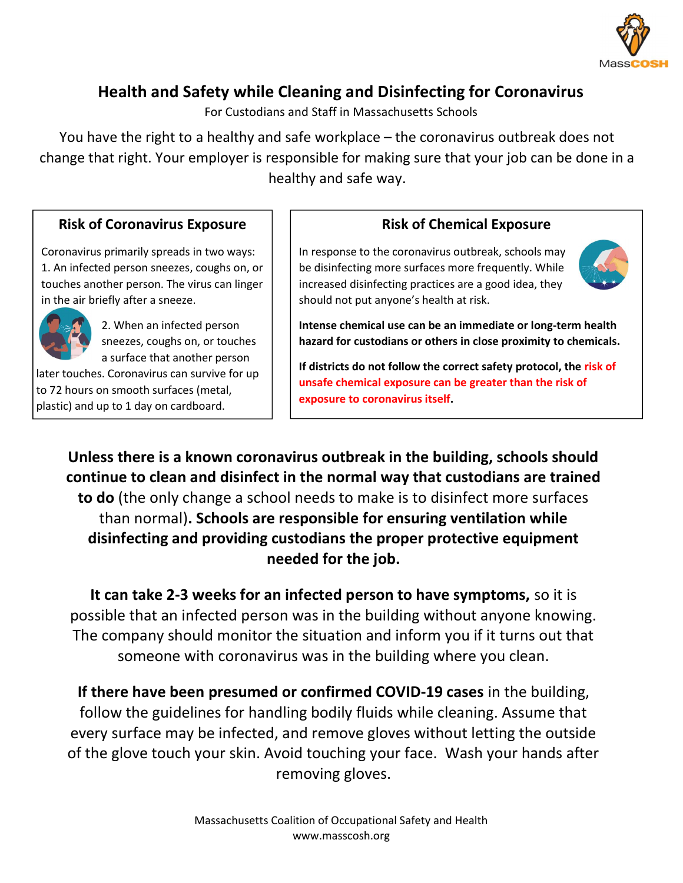

## Health and Safety while Cleaning and Disinfecting for Coronavirus

For Custodians and Staff in Massachusetts Schools

You have the right to a healthy and safe workplace – the coronavirus outbreak does not change that right. Your employer is responsible for making sure that your job can be done in a healthy and safe way.

## Risk of Coronavirus Exposure

Coronavirus primarily spreads in two ways: 1. An infected person sneezes, coughs on, or touches another person. The virus can linger in the air briefly after a sneeze.



2. When an infected person sneezes, coughs on, or touches a surface that another person

later touches. Coronavirus can survive for up to 72 hours on smooth surfaces (metal, plastic) and up to 1 day on cardboard.

## Risk of Chemical Exposure

In response to the coronavirus outbreak, schools may be disinfecting more surfaces more frequently. While increased disinfecting practices are a good idea, they should not put anyone's health at risk.



Intense chemical use can be an immediate or long-term health hazard for custodians or others in close proximity to chemicals.

If districts do not follow the correct safety protocol, the risk of unsafe chemical exposure can be greater than the risk of exposure to coronavirus itself.

Unless there is a known coronavirus outbreak in the building, schools should continue to clean and disinfect in the normal way that custodians are trained to do (the only change a school needs to make is to disinfect more surfaces than normal). Schools are responsible for ensuring ventilation while disinfecting and providing custodians the proper protective equipment needed for the job.

It can take 2-3 weeks for an infected person to have symptoms, so it is possible that an infected person was in the building without anyone knowing. The company should monitor the situation and inform you if it turns out that someone with coronavirus was in the building where you clean.

If there have been presumed or confirmed COVID-19 cases in the building, follow the guidelines for handling bodily fluids while cleaning. Assume that every surface may be infected, and remove gloves without letting the outside of the glove touch your skin. Avoid touching your face. Wash your hands after removing gloves.